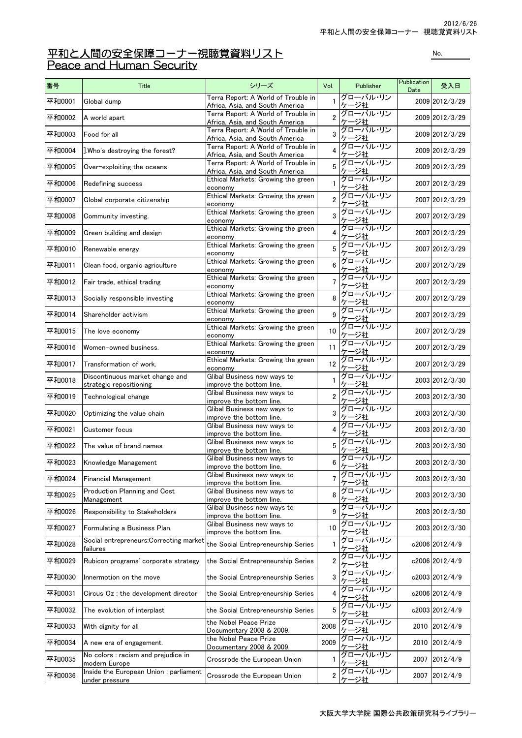## 平和と人間の安全保障コーナー視聴覚資料リスト インスト No. No. All Peace and Human Security

| 番号     | Title                                                    | シリーズ                                                                                | Vol.             | Publisher                      | Publication<br>Date | 受入日            |
|--------|----------------------------------------------------------|-------------------------------------------------------------------------------------|------------------|--------------------------------|---------------------|----------------|
| 平和0001 | Global dump                                              | Terra Report: A World of Trouble in<br>Africa, Asia, and South America              | 1                | グローバル・リン<br>ケージ社               |                     | 2009 2012/3/29 |
| 平和0002 | A world apart                                            | Terra Report: A World of Trouble in<br>Africa, Asia, and South America              | $\overline{2}$   | グローバル・リン<br>ケージ社               |                     | 2009 2012/3/29 |
| 平和0003 | Food for all                                             | Terra Report: A World of Trouble in<br>Africa, Asia, and South America              | 3                | グローバル・リン<br>ケージ社               |                     | 2009 2012/3/29 |
| 平和0004 | Who's destroying the forest?                             | Terra Report: A World of Trouble in                                                 | $\overline{4}$   | グローバル・リン                       |                     | 2009 2012/3/29 |
| 平和0005 | Over-exploiting the oceans                               | Africa, Asia, and South America<br>Terra Report: A World of Trouble in              | 5                | <u>ケージ社</u><br>グローバル・リン        |                     | 2009 2012/3/29 |
| 平和0006 | Redefining success                                       | Africa, Asia, and South America<br>Ethical Markets: Growing the green               | 1                | ケージ社<br>グローバル・リン               |                     | 2007 2012/3/29 |
| 平和0007 | Global corporate citizenship                             | economy<br>Ethical Markets: Growing the green                                       | $\boldsymbol{2}$ | ケージ社<br>グローバル・リン               |                     | 2007 2012/3/29 |
| 平和0008 | Community investing.                                     | economy<br>Ethical Markets: Growing the green                                       | 3                | ケージ社<br>グローバル・リン               |                     | 2007 2012/3/29 |
| 平和0009 | Green building and design                                | economy<br>Ethical Markets: Growing the green                                       | $\overline{4}$   | ケージ社<br>グローバル・リン               |                     | 2007 2012/3/29 |
| 平和0010 | Renewable energy                                         | economy<br>Ethical Markets: Growing the green                                       | 5                | ケージ社<br>グローバル・リン               |                     | 2007 2012/3/29 |
| 平和0011 | Clean food, organic agriculture                          | economy<br>Ethical Markets: Growing the green                                       | 6                | ケージ社<br>グローバル・リン               |                     | 2007 2012/3/29 |
| 平和0012 | Fair trade, ethical trading                              | economy<br>Ethical Markets: Growing the green                                       | $\overline{7}$   | ケージ社<br>グローバル・リン               |                     | 2007 2012/3/29 |
| 平和0013 | Socially responsible investing                           | economy<br>Ethical Markets: Growing the green                                       | 8                | ケージ社<br>グローバル・リン               |                     | 2007 2012/3/29 |
| 平和0014 | Shareholder activism                                     | economy<br>Ethical Markets: Growing the green                                       | 9                | <u>ケージ社</u><br>グローバル・リン        |                     | 2007 2012/3/29 |
| 平和0015 | The love economy                                         | economy<br>Ethical Markets: Growing the green                                       | 10               | ケージ社<br>グローバル・リン               |                     | 2007 2012/3/29 |
| 平和0016 | Women-owned business.                                    | economy<br>Ethical Markets: Growing the green                                       | 11               | ケージ社<br>グローバル・リン               |                     | 2007 2012/3/29 |
| 平和0017 | Transformation of work.                                  | economy<br>Ethical Markets: Growing the green                                       | 12               | ケージ社<br>グローバル・リン               |                     | 2007 2012/3/29 |
| 平和0018 | Discontinuous market change and                          | economy<br>Glibal Business new ways to                                              | $\mathbf{1}$     | −ジ社<br>グローバル・リン                |                     | 2003 2012/3/30 |
| 平和0019 | strategic repositioning<br>Technological change          | improve the bottom line.<br>Glibal Business new ways to                             | $\overline{2}$   | −ジ社<br>グローバル・リン                |                     | 2003 2012/3/30 |
| 平和0020 | Optimizing the value chain                               | improve the bottom line.<br>Glibal Business new ways to                             | 3                | -ジ社<br>グローバル・リン                |                     | 2003 2012/3/30 |
| 平和0021 | Customer focus                                           | improve the bottom line.<br>Glibal Business new ways to<br>improve the bottom line. | 4                | −ジ社<br>グローバル・リン                |                     | 2003 2012/3/30 |
| 平和0022 | The value of brand names                                 | Glibal Business new ways to                                                         | 5                | <u>ケージ社</u><br>グローバル・リン<br>-ジ社 |                     | 2003 2012/3/30 |
| 平和0023 | Knowledge Management                                     | improve the bottom line.<br>Glibal Business new ways to                             | 6                | グローバル・リン<br>ケージ社               |                     | 2003 2012/3/30 |
| 平和0024 | <b>Financial Management</b>                              | improve the bottom line.<br>Glibal Business new ways to                             | 7                | グローバル・リン<br>・ジ社                |                     | 2003 2012/3/30 |
| 平和0025 | Production Planning and Cost                             | improve the bottom line.<br>Glibal Business new ways to                             | 8                | ゚゙ <b>ローバル・リン</b>              |                     | 2003 2012/3/30 |
| 平和0026 | Management<br>Responsibility to Stakeholders             | improve the bottom line.<br>Glibal Business new ways to                             | 9                | ジ社<br>゚ローバル・リン<br>ジ社           |                     | 2003 2012/3/30 |
| 平和0027 | Formulating a Business Plan.                             | improve the bottom line.<br>Glibal Business new ways to                             | 10               | グローバル・リン                       |                     | 2003 2012/3/30 |
| 平和0028 | Social entrepreneurs: Correcting market                  | improve the bottom line.<br>the Social Entrepreneurship Series                      | $\mathbf{1}$     | -ジ社<br>グローバル・リン                |                     | c2006 2012/4/9 |
| 平和0029 | failures<br>Rubicon programs' corporate strategy         | the Social Entrepreneurship Series                                                  | $\overline{2}$   | −ジ社<br>グローバル・リン                |                     | c2006 2012/4/9 |
| 平和0030 | Innermotion on the move                                  | the Social Entrepreneurship Series                                                  | 3                | <u>ージ社</u><br>グローバル・リン         |                     | c2003 2012/4/9 |
| 平和0031 | Circus Oz : the development director                     | the Social Entrepreneurship Series                                                  | 4                | <u>ージ社</u><br>グローバル・リン         |                     | c2006 2012/4/9 |
| 平和0032 | The evolution of interplast                              | the Social Entrepreneurship Series                                                  | 5                | -ジ社<br>グローバル・リン<br><u>ケージ社</u> |                     | c2003 2012/4/9 |
| 平和0033 | With dignity for all                                     | the Nobel Peace Prize<br>Documentary 2008 & 2009.                                   | 2008             | グローバル・リン<br>ジ社                 | 2010                | 2012/4/9       |
| 平和0034 | A new era of engagement.                                 | the Nobel Peace Prize<br>Documentary 2008 & 2009.                                   | 2009             | グローバル・リン<br>ジ社                 | 2010                | 2012/4/9       |
| 平和0035 | No colors : racism and prejudice in<br>modern Europe     | Crossrode the European Union                                                        | $\mathbf{1}$     | グローバル・リン<br>ジ社                 | 2007                | 2012/4/9       |
| 平和0036 | Inside the European Union : parliament<br>under pressure | Crossrode the European Union                                                        | $\overline{2}$   | グローバル・リン<br>−ジ社                | 2007                | 2012/4/9       |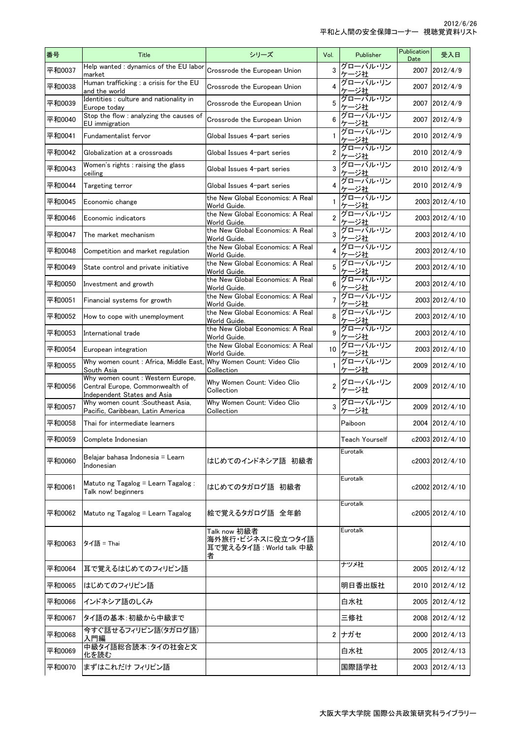| 番号     | <b>Title</b>                                                                                       | シリーズ                                                              | Vol.           | Publisher               | <b>Publication</b><br>Date | 受入日             |
|--------|----------------------------------------------------------------------------------------------------|-------------------------------------------------------------------|----------------|-------------------------|----------------------------|-----------------|
| 平和0037 | Help wanted : dynamics of the EU labor<br>market                                                   | Crossrode the European Union                                      | 3              | グローバル・リン<br>ケージ社        | 2007                       | 2012/4/9        |
| 平和0038 | Human trafficking : a crisis for the EU<br>and the world                                           | Crossrode the European Union                                      | 4              | グローバル・リン<br>ケージ社        | 2007                       | 2012/4/9        |
| 平和0039 | Identities : culture and nationality in<br>Europe today                                            | Crossrode the European Union                                      | 5              | グローバル・リン<br>ケージ社        | 2007                       | 2012/4/9        |
| 平和0040 | Stop the flow : analyzing the causes of<br><b>EU</b> immigration                                   | Crossrode the European Union                                      | 6              | グローバル・リン<br>ケージ社        | 2007                       | 2012/4/9        |
| 平和0041 | Fundamentalist fervor                                                                              | Global Issues 4-part series                                       | $\mathbf{1}$   | グローバル・リン<br>ケージ社        | 2010                       | 2012/4/9        |
| 平和0042 | Globalization at a crossroads                                                                      | Global Issues 4-part series                                       | $\overline{2}$ | グローバル・リン<br>ケージ社        |                            | 2010 2012/4/9   |
| 平和0043 | Women's rights : raising the glass<br>ceiling                                                      | Global Issues 4-part series                                       | 3              | グローバル・リン<br>ケージ社        | 2010                       | 2012/4/9        |
| 平和0044 | Targeting terror                                                                                   | Global Issues 4-part series                                       | 4              | グローバル・リン<br><u>ケージ社</u> | 2010                       | 2012/4/9        |
| 平和0045 | Economic change                                                                                    | the New Global Economics: A Real<br>World Guide.                  | 1              | グローバル・リン<br>ケージ社        |                            | 2003 2012/4/10  |
| 平和0046 | Economic indicators                                                                                | the New Global Economics: A Real<br>World Guide.                  | $\overline{2}$ | グローバル・リン<br>ケージ社        |                            | 2003 2012/4/10  |
| 平和0047 | The market mechanism                                                                               | the New Global Economics: A Real<br>World Guide.                  | 3              | グローバル・リン<br>一ジ社<br>ヶ    |                            | 2003 2012/4/10  |
| 平和0048 | Competition and market regulation                                                                  | the New Global Economics: A Real<br>World Guide.                  | 4              | グローバル・リン<br>ケージ社        |                            | 2003 2012/4/10  |
| 平和0049 | State control and private initiative                                                               | the New Global Economics: A Real<br>World Guide.                  | 5              | グローバル・リン<br>ケージ社        |                            | 2003 2012/4/10  |
| 平和0050 | Investment and growth                                                                              | the New Global Economics: A Real<br>World Guide.                  | 6              | グローバル・リン<br>ケージ社        |                            | 2003 2012/4/10  |
| 平和0051 | Financial systems for growth                                                                       | the New Global Economics: A Real<br>World Guide.                  | $\overline{7}$ | グローバル・リン<br>ケージ社        |                            | 2003 2012/4/10  |
| 平和0052 | How to cope with unemployment                                                                      | the New Global Economics: A Real<br>World Guide.                  | 8              | グローバル・リン<br>ケージ社        |                            | 2003 2012/4/10  |
| 平和0053 | International trade                                                                                | the New Global Economics: A Real<br>World Guide.                  | 9              | グローバル・リン<br>ケージ社        |                            | 2003 2012/4/10  |
| 平和0054 | European integration                                                                               | the New Global Economics: A Real<br>World Guide.                  | 10             | グローバル・リン<br>ケージ社        |                            | 2003 2012/4/10  |
| 平和0055 | Why women count: Africa, Middle East, Why Women Count: Video Clio<br>South Asia                    | Collection                                                        | $\mathbf{1}$   | グローバル・リン<br>ケージ社        | 2009                       | 2012/4/10       |
| 平和0056 | Why women count: Western Europe,<br>Central Europe, Commonwealth of<br>Independent States and Asia | Why Women Count: Video Clio<br>Collection                         | $\overline{2}$ | グローバル・リン<br>ケージ社        | 2009                       | 2012/4/10       |
| 平和0057 | Why women count : Southeast Asia,<br>Pacific, Caribbean, Latin America                             | Why Women Count: Video Clio<br>Collection                         | 3              | グローバル・リン<br>ケージ社        | 2009                       | 2012/4/10       |
| 平和0058 | Thai for intermediate learners                                                                     |                                                                   |                | Paiboon                 |                            | 2004 2012/4/10  |
| 平和0059 | Complete Indonesian                                                                                |                                                                   |                | Teach Yourself          |                            | c2003 2012/4/10 |
| 平和0060 | Belajar bahasa Indonesia = Learn<br>Indonesian                                                     | はじめてのインドネシア語 初級者                                                  |                | Eurotalk                |                            | c2003 2012/4/10 |
| 平和0061 | Matuto ng Tagalog = Learn Tagalog:<br>Talk now! beginners                                          | はじめてのタガログ語 初級者                                                    |                | Eurotalk                |                            | c2002 2012/4/10 |
| 平和0062 | Matuto ng Tagalog = Learn Tagalog                                                                  | 絵で覚えるタガログ語 全年齢                                                    |                | Eurotalk                |                            | c2005 2012/4/10 |
| 平和0063 | タイ語 = Thai                                                                                         | Talk now 初級者<br>海外旅行・ビジネスに役立つタイ語<br>耳で覚えるタイ語 : World talk 中級<br>者 |                | Eurotalk                |                            | 2012/4/10       |
| 平和0064 | 耳で覚えるはじめてのフィリピン語                                                                                   |                                                                   |                | ナツメ社                    | 2005                       | 2012/4/12       |
| 平和0065 | はじめてのフィリピン語                                                                                        |                                                                   |                | 明日香出版社                  | 2010                       | 2012/4/12       |
| 平和0066 | インドネシア語のしくみ                                                                                        |                                                                   |                | 白水社                     | 2005                       | 2012/4/12       |
| 平和0067 | タイ語の基本:初級から中級まで                                                                                    |                                                                   |                | 三修社                     | 2008                       | 2012/4/12       |
| 平和0068 | 今すぐ話せるフィリピン語(タガログ語)<br>入門編                                                                         |                                                                   | $\overline{2}$ | ナガセ                     | 2000                       | 2012/4/13       |
| 平和0069 | 中級タイ語総合読本:タイの社会と文<br>化を読む                                                                          |                                                                   |                | 白水社                     | 2005                       | 2012/4/13       |
| 平和0070 | まずはこれだけ フィリピン語                                                                                     |                                                                   |                | 国際語学社                   |                            | 2003 2012/4/13  |